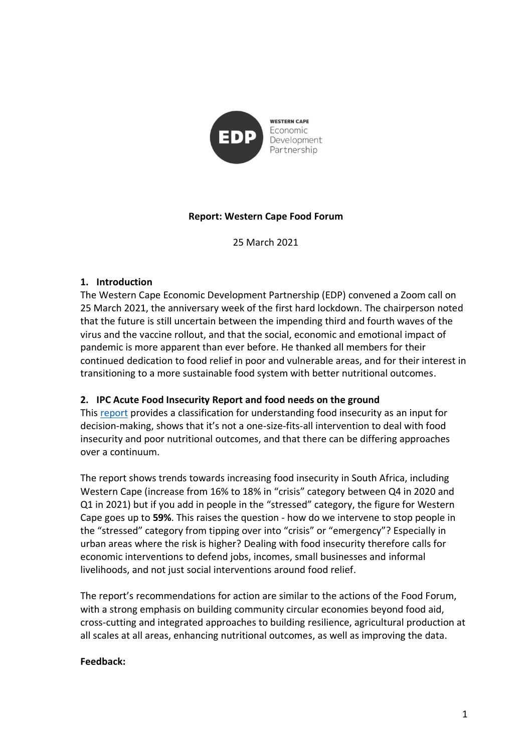

## **Report: Western Cape Food Forum**

25 March 2021

### **1. Introduction**

The Western Cape Economic Development Partnership (EDP) convened a Zoom call on 25 March 2021, the anniversary week of the first hard lockdown. The chairperson noted that the future is still uncertain between the impending third and fourth waves of the virus and the vaccine rollout, and that the social, economic and emotional impact of pandemic is more apparent than ever before. He thanked all members for their continued dedication to food relief in poor and vulnerable areas, and for their interest in transitioning to a more sustainable food system with better nutritional outcomes.

### **2. IPC Acute Food Insecurity Report and food needs on the ground**

This [report](http://www.ipcinfo.org/fileadmin/user_upload/ipcinfo/docs/IPC_South_Africa_AcuteFoodInsec_2020Nov2021Mar_Report.pdf) provides a classification for understanding food insecurity as an input for decision-making, shows that it's not a one-size-fits-all intervention to deal with food insecurity and poor nutritional outcomes, and that there can be differing approaches over a continuum.

The report shows trends towards increasing food insecurity in South Africa, including Western Cape (increase from 16% to 18% in "crisis" category between Q4 in 2020 and Q1 in 2021) but if you add in people in the "stressed" category, the figure for Western Cape goes up to **59%**. This raises the question - how do we intervene to stop people in the "stressed" category from tipping over into "crisis" or "emergency"? Especially in urban areas where the risk is higher? Dealing with food insecurity therefore calls for economic interventions to defend jobs, incomes, small businesses and informal livelihoods, and not just social interventions around food relief.

The report's recommendations for action are similar to the actions of the Food Forum, with a strong emphasis on building community circular economies beyond food aid, cross-cutting and integrated approaches to building resilience, agricultural production at all scales at all areas, enhancing nutritional outcomes, as well as improving the data.

#### **Feedback:**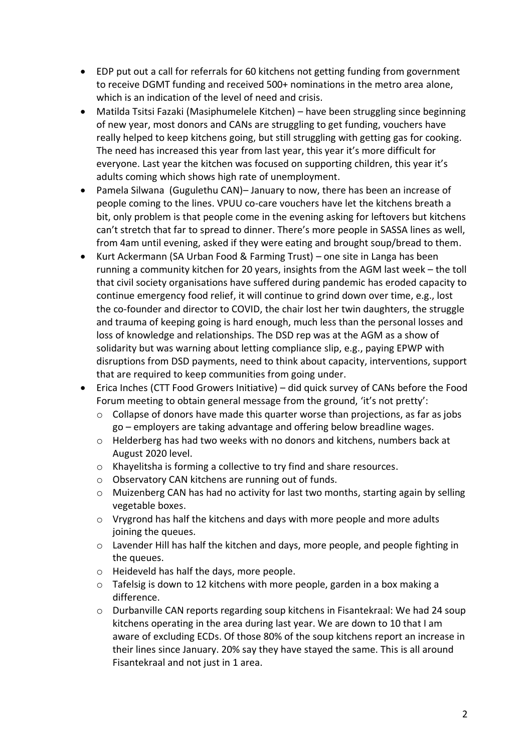- EDP put out a call for referrals for 60 kitchens not getting funding from government to receive DGMT funding and received 500+ nominations in the metro area alone, which is an indication of the level of need and crisis.
- Matilda Tsitsi Fazaki (Masiphumelele Kitchen) have been struggling since beginning of new year, most donors and CANs are struggling to get funding, vouchers have really helped to keep kitchens going, but still struggling with getting gas for cooking. The need has increased this year from last year, this year it's more difficult for everyone. Last year the kitchen was focused on supporting children, this year it's adults coming which shows high rate of unemployment.
- Pamela Silwana (Gugulethu CAN)– January to now, there has been an increase of people coming to the lines. VPUU co-care vouchers have let the kitchens breath a bit, only problem is that people come in the evening asking for leftovers but kitchens can't stretch that far to spread to dinner. There's more people in SASSA lines as well, from 4am until evening, asked if they were eating and brought soup/bread to them.
- Kurt Ackermann (SA Urban Food & Farming Trust) one site in Langa has been running a community kitchen for 20 years, insights from the AGM last week – the toll that civil society organisations have suffered during pandemic has eroded capacity to continue emergency food relief, it will continue to grind down over time, e.g., lost the co-founder and director to COVID, the chair lost her twin daughters, the struggle and trauma of keeping going is hard enough, much less than the personal losses and loss of knowledge and relationships. The DSD rep was at the AGM as a show of solidarity but was warning about letting compliance slip, e.g., paying EPWP with disruptions from DSD payments, need to think about capacity, interventions, support that are required to keep communities from going under.
- Erica Inches (CTT Food Growers Initiative) did quick survey of CANs before the Food Forum meeting to obtain general message from the ground, 'it's not pretty':
	- o Collapse of donors have made this quarter worse than projections, as far as jobs go – employers are taking advantage and offering below breadline wages.
	- o Helderberg has had two weeks with no donors and kitchens, numbers back at August 2020 level.
	- o Khayelitsha is forming a collective to try find and share resources.
	- o Observatory CAN kitchens are running out of funds.
	- o Muizenberg CAN has had no activity for last two months, starting again by selling vegetable boxes.
	- $\circ$  Vrygrond has half the kitchens and days with more people and more adults joining the queues.
	- o Lavender Hill has half the kitchen and days, more people, and people fighting in the queues.
	- o Heideveld has half the days, more people.
	- o Tafelsig is down to 12 kitchens with more people, garden in a box making a difference.
	- o Durbanville CAN reports regarding soup kitchens in Fisantekraal: We had 24 soup kitchens operating in the area during last year. We are down to 10 that I am aware of excluding ECDs. Of those 80% of the soup kitchens report an increase in their lines since January. 20% say they have stayed the same. This is all around Fisantekraal and not just in 1 area.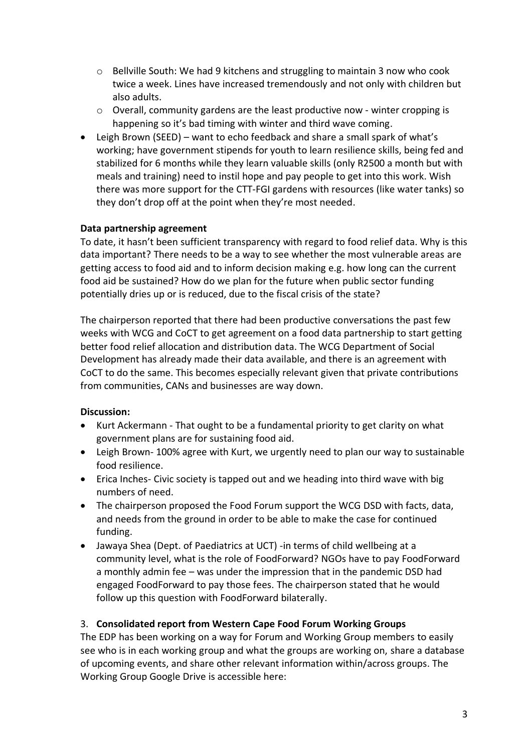- o Bellville South: We had 9 kitchens and struggling to maintain 3 now who cook twice a week. Lines have increased tremendously and not only with children but also adults.
- o Overall, community gardens are the least productive now winter cropping is happening so it's bad timing with winter and third wave coming.
- Leigh Brown (SEED) want to echo feedback and share a small spark of what's working; have government stipends for youth to learn resilience skills, being fed and stabilized for 6 months while they learn valuable skills (only R2500 a month but with meals and training) need to instil hope and pay people to get into this work. Wish there was more support for the CTT-FGI gardens with resources (like water tanks) so they don't drop off at the point when they're most needed.

### **Data partnership agreement**

To date, it hasn't been sufficient transparency with regard to food relief data. Why is this data important? There needs to be a way to see whether the most vulnerable areas are getting access to food aid and to inform decision making e.g. how long can the current food aid be sustained? How do we plan for the future when public sector funding potentially dries up or is reduced, due to the fiscal crisis of the state?

The chairperson reported that there had been productive conversations the past few weeks with WCG and CoCT to get agreement on a food data partnership to start getting better food relief allocation and distribution data. The WCG Department of Social Development has already made their data available, and there is an agreement with CoCT to do the same. This becomes especially relevant given that private contributions from communities, CANs and businesses are way down.

### **Discussion:**

- Kurt Ackermann That ought to be a fundamental priority to get clarity on what government plans are for sustaining food aid.
- Leigh Brown- 100% agree with Kurt, we urgently need to plan our way to sustainable food resilience.
- Erica Inches- Civic society is tapped out and we heading into third wave with big numbers of need.
- The chairperson proposed the Food Forum support the WCG DSD with facts, data, and needs from the ground in order to be able to make the case for continued funding.
- Jawaya Shea (Dept. of Paediatrics at UCT) -in terms of child wellbeing at a community level, what is the role of FoodForward? NGOs have to pay FoodForward a monthly admin fee – was under the impression that in the pandemic DSD had engaged FoodForward to pay those fees. The chairperson stated that he would follow up this question with FoodForward bilaterally.

# 3. **Consolidated report from Western Cape Food Forum Working Groups**

The EDP has been working on a way for Forum and Working Group members to easily see who is in each working group and what the groups are working on, share a database of upcoming events, and share other relevant information within/across groups. The Working Group Google Drive is accessible here: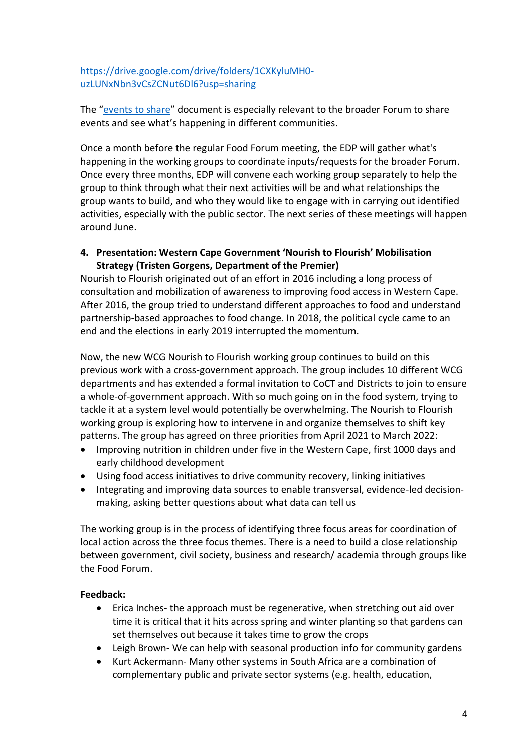[https://drive.google.com/drive/folders/1CXKyluMH0](https://drive.google.com/drive/folders/1CXKyluMH0-uzLUNxNbn3vCsZCNut6Dl6?usp=sharing) [uzLUNxNbn3vCsZCNut6Dl6?usp=sharing](https://drive.google.com/drive/folders/1CXKyluMH0-uzLUNxNbn3vCsZCNut6Dl6?usp=sharing)

The "[events to share](https://docs.google.com/document/d/1-6H6X74neM5ddGisqZpO0xPqnyTkyR9xL8OqkIDQQ4o/edit?usp=sharing)" document is especially relevant to the broader Forum to share events and see what's happening in different communities.

Once a month before the regular Food Forum meeting, the EDP will gather what's happening in the working groups to coordinate inputs/requests for the broader Forum. Once every three months, EDP will convene each working group separately to help the group to think through what their next activities will be and what relationships the group wants to build, and who they would like to engage with in carrying out identified activities, especially with the public sector. The next series of these meetings will happen around June.

### **4. Presentation: Western Cape Government 'Nourish to Flourish' Mobilisation Strategy (Tristen Gorgens, Department of the Premier)**

Nourish to Flourish originated out of an effort in 2016 including a long process of consultation and mobilization of awareness to improving food access in Western Cape. After 2016, the group tried to understand different approaches to food and understand partnership-based approaches to food change. In 2018, the political cycle came to an end and the elections in early 2019 interrupted the momentum.

Now, the new WCG Nourish to Flourish working group continues to build on this previous work with a cross-government approach. The group includes 10 different WCG departments and has extended a formal invitation to CoCT and Districts to join to ensure a whole-of-government approach. With so much going on in the food system, trying to tackle it at a system level would potentially be overwhelming. The Nourish to Flourish working group is exploring how to intervene in and organize themselves to shift key patterns. The group has agreed on three priorities from April 2021 to March 2022:

- Improving nutrition in children under five in the Western Cape, first 1000 days and early childhood development
- Using food access initiatives to drive community recovery, linking initiatives
- Integrating and improving data sources to enable transversal, evidence-led decisionmaking, asking better questions about what data can tell us

The working group is in the process of identifying three focus areas for coordination of local action across the three focus themes. There is a need to build a close relationship between government, civil society, business and research/ academia through groups like the Food Forum.

# **Feedback:**

- Erica Inches- the approach must be regenerative, when stretching out aid over time it is critical that it hits across spring and winter planting so that gardens can set themselves out because it takes time to grow the crops
- Leigh Brown- We can help with seasonal production info for community gardens
- Kurt Ackermann- Many other systems in South Africa are a combination of complementary public and private sector systems (e.g. health, education,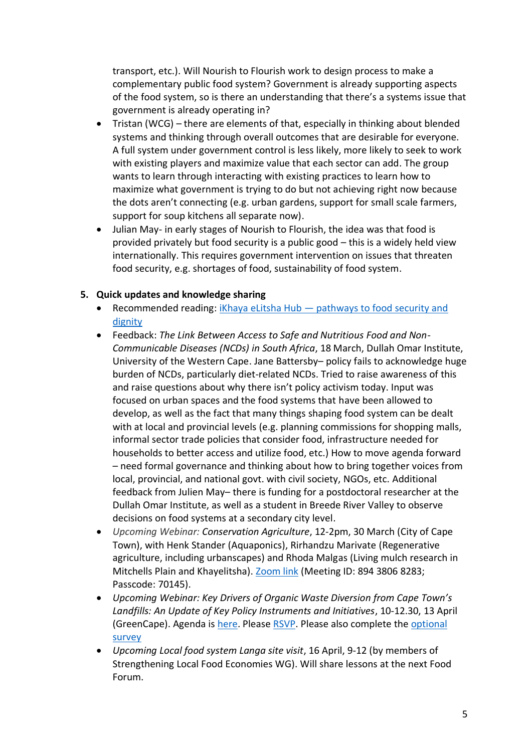transport, etc.). Will Nourish to Flourish work to design process to make a complementary public food system? Government is already supporting aspects of the food system, so is there an understanding that there's a systems issue that government is already operating in?

- Tristan (WCG) there are elements of that, especially in thinking about blended systems and thinking through overall outcomes that are desirable for everyone. A full system under government control is less likely, more likely to seek to work with existing players and maximize value that each sector can add. The group wants to learn through interacting with existing practices to learn how to maximize what government is trying to do but not achieving right now because the dots aren't connecting (e.g. urban gardens, support for small scale farmers, support for soup kitchens all separate now).
- Julian May- in early stages of Nourish to Flourish, the idea was that food is provided privately but food security is a public good – this is a widely held view internationally. This requires government intervention on issues that threaten food security, e.g. shortages of food, sustainability of food system.

## **5. Quick updates and knowledge sharing**

- Recommended reading: iKhaya eLitsha Hub pathways to food security and [dignity](https://www.dailymaverick.co.za/article/2021-03-17-hikhaya-elitsha-hub-pathways-to-food-security-and-dignity/)
- Feedback: *The Link Between Access to Safe and Nutritious Food and Non-Communicable Diseases (NCDs) in South Africa*, 18 March, Dullah Omar Institute, University of the Western Cape. Jane Battersby– policy fails to acknowledge huge burden of NCDs, particularly diet-related NCDs. Tried to raise awareness of this and raise questions about why there isn't policy activism today. Input was focused on urban spaces and the food systems that have been allowed to develop, as well as the fact that many things shaping food system can be dealt with at local and provincial levels (e.g. planning commissions for shopping malls, informal sector trade policies that consider food, infrastructure needed for households to better access and utilize food, etc.) How to move agenda forward – need formal governance and thinking about how to bring together voices from local, provincial, and national govt. with civil society, NGOs, etc. Additional feedback from Julien May– there is funding for a postdoctoral researcher at the Dullah Omar Institute, as well as a student in Breede River Valley to observe decisions on food systems at a secondary city level.
- *Upcoming Webinar: Conservation Agriculture*, 12-2pm, 30 March (City of Cape Town), with Henk Stander (Aquaponics), Rirhandzu Marivate (Regenerative agriculture, including urbanscapes) and Rhoda Malgas (Living mulch research in Mitchells Plain and Khayelitsha). [Zoom link](https://www.google.com/url?q=https://us02web.zoom.us/j/89438068283?pwd%3DaFU3S2t0KzJlZXk1TGRRb25rVzljdz09&sa=D&source=calendar&usd=2&usg=AOvVaw2ntVNv6zhWJPxrAonWVZQh) (Meeting ID: 894 3806 8283; Passcode: 70145).
- *Upcoming Webinar: Key Drivers of Organic Waste Diversion from Cape Town's Landfills: An Update of Key Policy Instruments and Initiatives*, 10-12.30, 13 April (GreenCape). Agenda is [here.](https://mcusercontent.com/3119aaa3c86457fb58c013133/files/ab819263-a01b-4039-b8ea-02ba2a96fd36/Agenda.pdf) Pleas[e RSVP.](https://forms.zohopublic.com/kriel/form/OrganicWastePlenarySession/formperma/X8RIzlfTMxSB2-NRw69wXagxIvfaNrMuvO-cGra8bzI) Please also complete the [optional](https://forms.zohopublic.com/kriel/form/OrganicWasteQuestionnaire/formperma/6LRCmFyK4XEkvJi12ABuW7uyVORC0nmdEQa_2qVjyhQ)  [survey](https://forms.zohopublic.com/kriel/form/OrganicWasteQuestionnaire/formperma/6LRCmFyK4XEkvJi12ABuW7uyVORC0nmdEQa_2qVjyhQ)
- *Upcoming Local food system Langa site visit*, 16 April, 9-12 (by members of Strengthening Local Food Economies WG). Will share lessons at the next Food Forum.